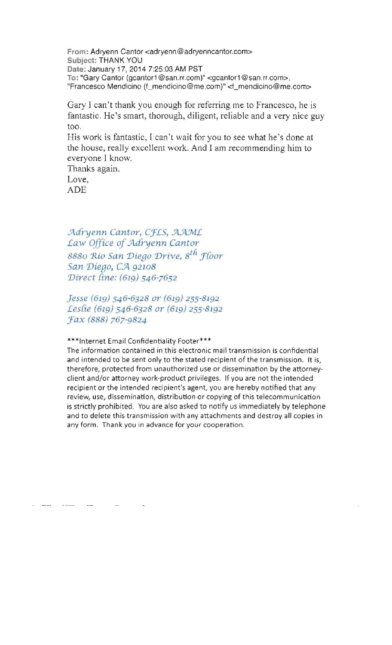**From : Adryenn Cantor <adryenn@adryenncantor.com>**  Subject: THANK YOU Date: January 17, 2014 7:25:03 AM PST **To: "Gary Cantor (gcantor1@san.rr.com)"<gcantor1@san.rr.com>,**  "Francesco Mendicino (f\_mendicino@me.com)" <f\_mendicino@me.com>

Gary I can't thank you enough for referring me to Francesco, he is fantastic. He's smart, thorough, diligent, reliable and a very nice guy too.

His work is fantastic, I can't wait for you to see what he 's done at the house, really excellent work. And I am recommending him to everyone I know.

Thanks again.

Love, ADE

 $Adryenn Cantor, CFLS, AAML$ Law Office of Adryenn Cantor 8880 Rio San Diego Drive, 8<sup>th</sup> Floor *San Diego, CA 92108 'Direct Cine:* (619) 546-7652

*Jesse* (619) 546-6328 *or* (619) 255-8192 *Lesfie* (619) 546-6328 *or* (619) 255-8192 *:fax* (888) 767-9824

**\*\*\*Internet Email Confidentiality Footer\*\*\*** 

**The information contained in this electronic mail transmission is confidential and intended to be sent only to the stated recipient of the transmission. It is,**  therefore, protected from unauthorized use or dissemination by the attorneyclient and/or attorney work-product privileges. If you are not the intended **recipient or the intended recipient's agent, you are hereby notified that any review, use, dissemination, distribution or copying of this telecommunication**  is strictly prohibited. You are also asked to notify us immediately by telephone **and to delete this transmission with any attachments and destroy all copies in any form . Thank you in advance for your cooperation .**